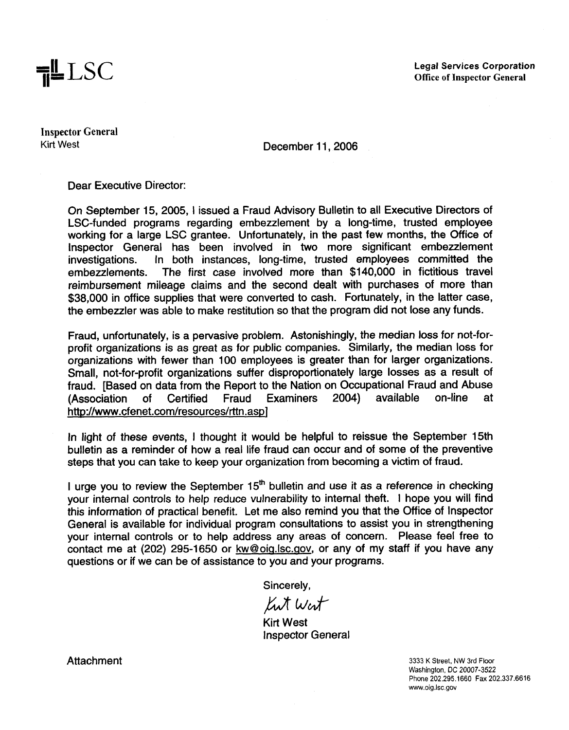

**Legal Services Corporation Office of Inspector General** 

**Inspector General** 

Kirt **West** December 11,2006

Dear Executive Director:

On September 15, 2005, 1 issued a Fraud Advisory Bulletin to all Executive Directors of LSC-funded programs regarding embezzlement by a long-time, trusted employee working for a large LSC grantee. Unfortunately, in the past few months, the Office of Inspector General has been involved in two more significant embezzlement<br>investigations. In both instances, long-time, trusted employees committed the in both instances, long-time, trusted employees committed the embezzlements. The first case involved more than \$140,000 in fictitious travel reimbursement mileage claims and the second dealt with purchases of more than \$38,000 in office supplies that were converted to cash. Fortunately, in the latter case. the embezzler was able to make restitution so that the program did not lose any funds.

Fraud, unfortunately, is a pervasive problem. Astonishingly, the median loss for not-forprofit organizations is as great as for public companies. Similarly, the median loss for organizations with fewer than 100 employees is greater than for larger organizations. Small, not-for-profit organizations suffer disproportionately large losses as a result of fraud. [Based on data from the Report to the Nation on Occupational Fraud and Abuse<br>(Association of Certified Fraud Examiners 2004) available on-line at (Association of Certified Fraud Examiners 2004) available on-line at http://www.cfenet.com/resources/rttn.aspl

In light of these events, I thought it would be helpful to reissue the September 15th bulletin as a reminder of how a real life fraud can occur and of some of the preventive steps that you can take to keep your organization from becoming a victim of fraud.

I urge you to review the September  $15<sup>th</sup>$  bulletin and use it as a reference in checking your internal controls to help reduce vulnerability to internal theft. I hope you will find this information of practical benefit. Let me also remind you that the Office of lnspector General is available for individual program consultations to assist you in strengthening your internal controls or to help address any areas of concern. Please feel free to contact me at (202) 295-1650 or kw@oiq.lsc.qov, or any of my staff if you have any questions or if we can be of assistance to you and your programs.

Sincerely,

Kut West

Kirt West lnspector General

Attachment 3333 K Street, NW 3rd Floor

Washington, DC 20007-3522 Phone 202.295.1660 Fax 202.337.6616 www.oig.lsc.gov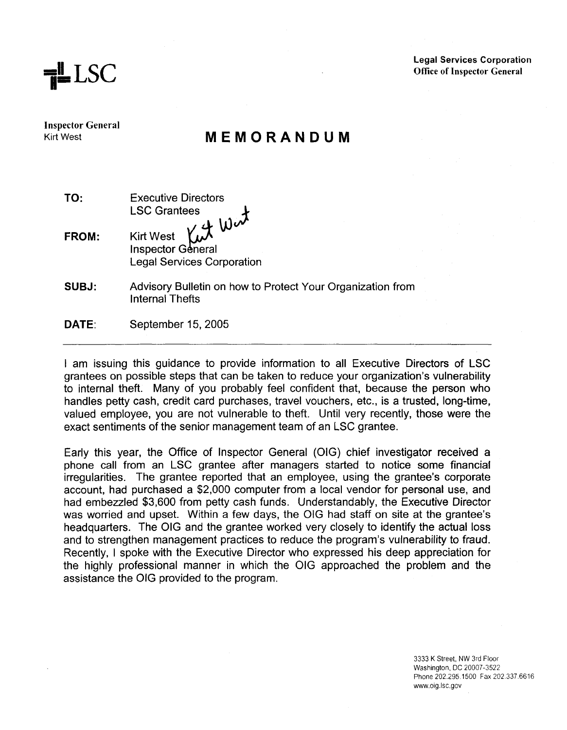**=H I=** LSC

**Legal Services Corporation Office of Inspector General** 

**Inspector General**  Kirt West

## **MEMORANDUM**

| TO:   | <b>Executive Directors</b><br><b>LSC Grantees</b>                             |
|-------|-------------------------------------------------------------------------------|
| FROM: | Kirt West Kut Work<br><b>Legal Services Corporation</b>                       |
| SUBJ: | Advisory Bulletin on how to Protect Your Organization from<br>Internal Thefts |
| DATE: | September 15, 2005                                                            |

I am issuing this guidance to provide information to all Executive Directors of LSC grantees on possible steps that can be taken to reduce your organization's vulnerability to internal theft. Many of you probably feel confident that, because the person who handles petty cash, credit card purchases, travel vouchers, etc., is a trusted, long-time, valued employee, you are not vulnerable to theft. Until very recently, those were the exact sentiments of the senior management team of an LSC grantee.

Early this year, the Office of lnspector General (OIG) chief investigator received a phone call from an LSC grantee after managers started to notice some financial irregularities. The grantee reported that an employee, using the grantee's corporate account, had purchased a \$2,000 computer from a local vendor for personal use, and had embezzled \$3,600 from petty cash funds. Understandably, the Executive Director was worried and upset. Within a few days, the OIG had staff on site at the grantee's headquarters. The OIG and the grantee worked very closely to identify the actual loss and to strengthen management practices to reduce the program's vulnerability to fraud. Recently, I spoke with the Executive Director who expressed his deep appreciation for the highly professional manner in which the OIG approached the problem and the assistance the OIG provided to the program.

> 3333 K Street, NW 3rd Floor Washington, DC 20007-3522 Phone 202.295.1500 Fax 202 337.6616 www.oig.lsc.gov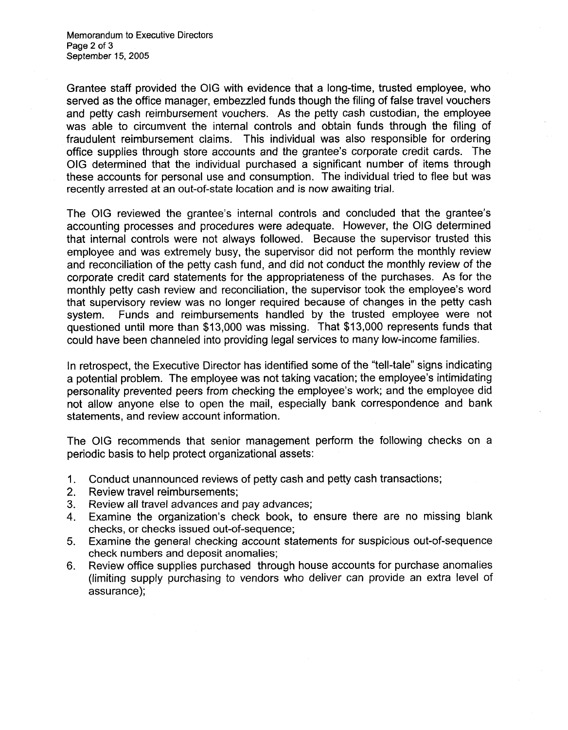Grantee staff provided the OIG with evidence that a long-time, trusted employee, who served as the office manager, embezzled funds though the filing of false travel vouchers and petty cash reimbursement vouchers. As the petty cash custodian, the employee was able to circumvent the internal controls and obtain funds through the filing of fraudulent reimbursement claims. This individual was also responsible for ordering office supplies through store accounts and the grantee's corporate credit cards. The OIG determined that the individual purchased a significant number of items through these accounts for personal use and consumption. The individual tried to flee but was recently arrested at an out-of-state location and is now awaiting trial.

The OIG reviewed the grantee's internal controls and concluded that the grantee's accounting processes and procedures were adequate. However, the OIG determined that internal controls were not always followed. Because the supervisor trusted this employee and was extremely busy, the supervisor did not perform the monthly review and reconciliation of the petty cash fund, and did not conduct the monthly review of the corporate credit card statements for the appropriateness of the purchases. As for the monthly petty cash review and reconciliation, the supervisor took the employee's word that supervisory review was no longer required because of changes in the petty cash system. Funds and reimbursements handled by the trusted employee were not questioned until more than \$13,000 was missing. That \$13,000 represents funds that could have been channeled into providing legal services to many low-income families.

In retrospect, the Executive Director has identified some of the "tell-tale" signs indicating a potential problem. The employee was not taking vacation; the employee's intimidating personality prevented peers from checking the employee's work; and the employee did not allow anyone else to open the mail, especially bank correspondence and bank statements, and review account information.

The OIG recommends that senior management perform the following checks on a periodic basis to help protect organizational assets:

- 1. Conduct unannounced reviews of petty cash and petty cash transactions;
- 2. Review travel reimbursements;
- 3. Review all travel advances and pay advances;
- **4.** Examine the organization's check book, to ensure there are no missing blank checks, or checks issued out-of-sequence;
- **5.** Examine the general checking account statements for suspicious out-of-sequence check numbers and deposit anomalies;
- 6. Review office supplies purchased through house accounts for purchase anomalies (limiting supply purchasing to vendors who deliver can provide an extra level of assurance);